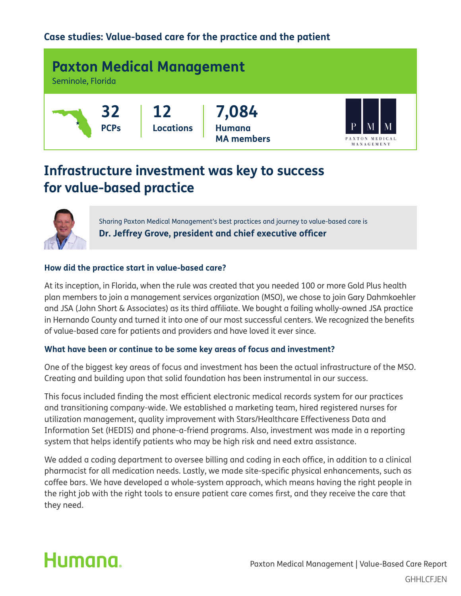### **Case studies: Value-based care for the practice and the patient**



### **Infrastructure investment was key to success for value-based practice**



Sharing Paxton Medical Management's best practices and journey to value-based care is **Dr. Jeffrey Grove, president and chief executive officer**

#### **How did the practice start in value-based care?**

At its inception, in Florida, when the rule was created that you needed 100 or more Gold Plus health plan members to join a management services organization (MSO), we chose to join Gary Dahmkoehler and JSA (John Short & Associates) as its third affiliate. We bought a failing wholly-owned JSA practice in Hernando County and turned it into one of our most successful centers. We recognized the benefits of value-based care for patients and providers and have loved it ever since.

#### **What have been or continue to be some key areas of focus and investment?**

One of the biggest key areas of focus and investment has been the actual infrastructure of the MSO. Creating and building upon that solid foundation has been instrumental in our success.

This focus included finding the most efficient electronic medical records system for our practices and transitioning company-wide. We established a marketing team, hired registered nurses for utilization management, quality improvement with Stars/Healthcare Effectiveness Data and Information Set (HEDIS) and phone-a-friend programs. Also, investment was made in a reporting system that helps identify patients who may be high risk and need extra assistance.

We added a coding department to oversee billing and coding in each office, in addition to a clinical pharmacist for all medication needs. Lastly, we made site-specific physical enhancements, such as coffee bars. We have developed a whole-system approach, which means having the right people in the right job with the right tools to ensure patient care comes first, and they receive the care that they need.

# Humana.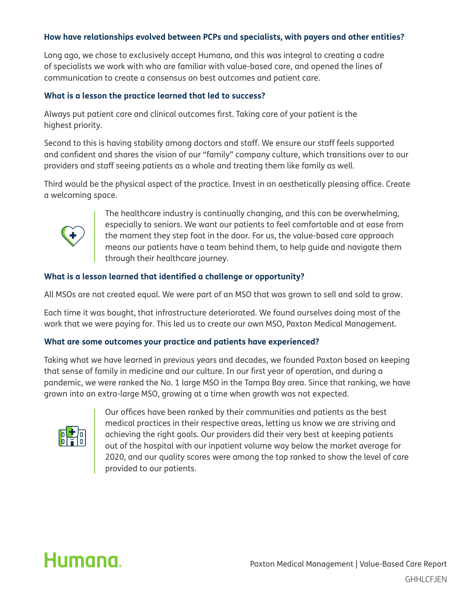#### **How have relationships evolved between PCPs and specialists, with payers and other entities?**

Long ago, we chose to exclusively accept Humana, and this was integral to creating a cadre of specialists we work with who are familiar with value-based care, and opened the lines of communication to create a consensus on best outcomes and patient care.

#### **What is a lesson the practice learned that led to success?**

Always put patient care and clinical outcomes first. Taking care of your patient is the highest priority.

Second to this is having stability among doctors and staff. We ensure our staff feels supported and confident and shares the vision of our "family" company culture, which transitions over to our providers and staff seeing patients as a whole and treating them like family as well.

Third would be the physical aspect of the practice. Invest in an aesthetically pleasing office. Create a welcoming space.



 The healthcare industry is continually changing, and this can be overwhelming, especially to seniors. We want our patients to feel comfortable and at ease from the moment they step foot in the door. For us, the value-based care approach means our patients have a team behind them, to help guide and navigate them through their healthcare journey.

#### **What is a lesson learned that identified a challenge or opportunity?**

All MSOs are not created equal. We were part of an MSO that was grown to sell and sold to grow.

Each time it was bought, that infrastructure deteriorated. We found ourselves doing most of the work that we were paying for. This led us to create our own MSO, Paxton Medical Management.

#### **What are some outcomes your practice and patients have experienced?**

Taking what we have learned in previous years and decades, we founded Paxton based on keeping that sense of family in medicine and our culture. In our first year of operation, and during a pandemic, we were ranked the No. 1 large MSO in the Tampa Bay area. Since that ranking, we have grown into an extra-large MSO, growing at a time when growth was not expected.



 Our offices have been ranked by their communities and patients as the best medical practices in their respective areas, letting us know we are striving and achieving the right goals. Our providers did their very best at keeping patients out of the hospital with our inpatient volume way below the market average for 2020, and our quality scores were among the top ranked to show the level of care provided to our patients.

## Humana.